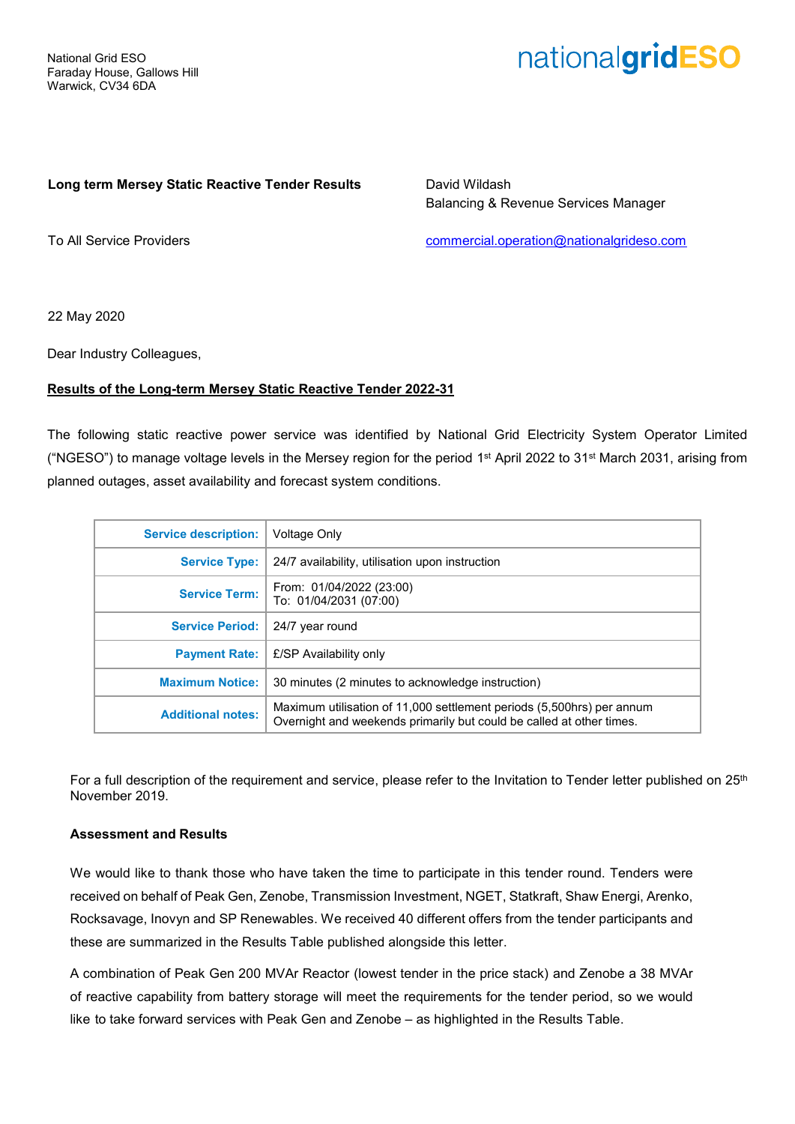# nationalgridESO

### **Long term Mersey Static Reactive Tender Results**

David Wildash Balancing & Revenue Services Manager

To All Service Providers

[commercial.operation@nationalgrideso.com](mailto:commercial.operation@nationalgrideso.com)

22 May 2020

Dear Industry Colleagues,

## **Results of the Long-term Mersey Static Reactive Tender 2022-31**

The following static reactive power service was identified by National Grid Electricity System Operator Limited ("NGESO") to manage voltage levels in the Mersey region for the period 1<sup>st</sup> April 2022 to 31<sup>st</sup> March 2031, arising from planned outages, asset availability and forecast system conditions.

| <b>Service description:</b> | Voltage Only                                                                                                                                  |
|-----------------------------|-----------------------------------------------------------------------------------------------------------------------------------------------|
| <b>Service Type:</b>        | 24/7 availability, utilisation upon instruction                                                                                               |
| <b>Service Term:</b>        | From: 01/04/2022 (23:00)<br>To: 01/04/2031 (07:00)                                                                                            |
| <b>Service Period:</b>      | 24/7 year round                                                                                                                               |
| <b>Payment Rate:</b>        | £/SP Availability only                                                                                                                        |
| <b>Maximum Notice:</b>      | 30 minutes (2 minutes to acknowledge instruction)                                                                                             |
| <b>Additional notes:</b>    | Maximum utilisation of 11,000 settlement periods (5,500hrs) per annum<br>Overnight and weekends primarily but could be called at other times. |

For a full description of the requirement and service, please refer to the Invitation to Tender letter published on 25<sup>th</sup> November 2019.

#### **Assessment and Results**

We would like to thank those who have taken the time to participate in this tender round. Tenders were received on behalf of Peak Gen, Zenobe, Transmission Investment, NGET, Statkraft, Shaw Energi, Arenko, Rocksavage, Inovyn and SP Renewables. We received 40 different offers from the tender participants and these are summarized in the Results Table published alongside this letter.

A combination of Peak Gen 200 MVAr Reactor (lowest tender in the price stack) and Zenobe a 38 MVAr of reactive capability from battery storage will meet the requirements for the tender period, so we would like to take forward services with Peak Gen and Zenobe – as highlighted in the Results Table.